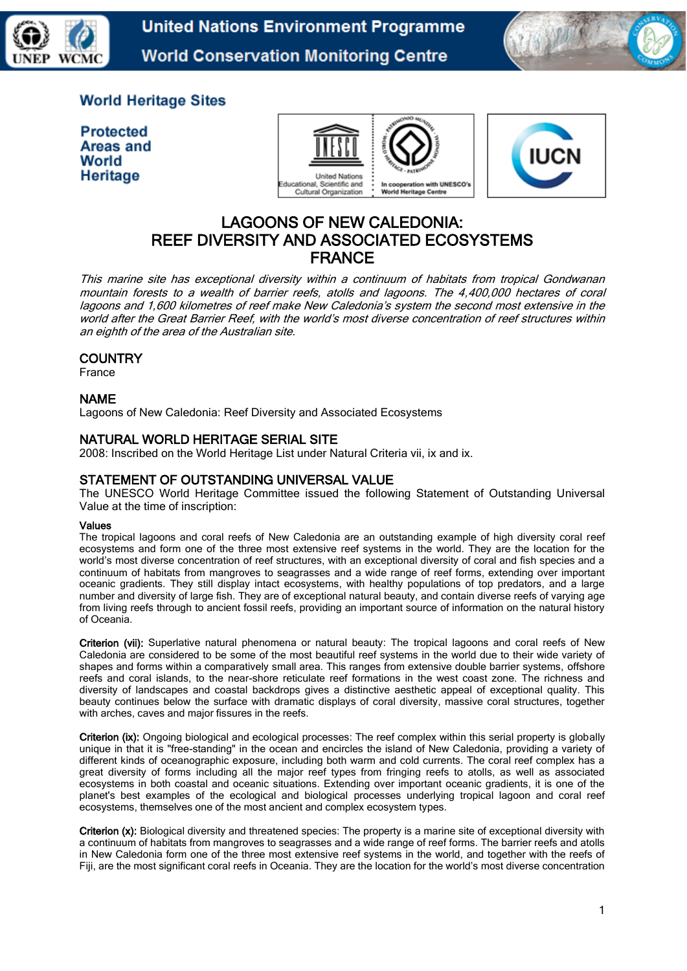

**United Nations Environment Programme World Conservation Monitoring Centre** 



# **World Heritage Sites**

**Protected Areas and** World Heritage





# LAGOONS OF NEW CALEDONIA: REEF DIVERSITY AND ASSOCIATED ECOSYSTEMS FRANCE

This marine site has exceptional diversity within a continuum of habitats from tropical Gondwanan mountain forests to a wealth of barrier reefs, atolls and lagoons. The 4,400,000 hectares of coral lagoons and 1,600 kilometres of reef make New Caledonia's system the second most extensive in the world after the Great Barrier Reef, with the world's most diverse concentration of reef structures within an eighth of the area of the Australian site.

### **COUNTRY**

France

### NAME

Lagoons of New Caledonia: Reef Diversity and Associated Ecosystems

# NATURAL WORLD HERITAGE SERIAL SITE

2008: Inscribed on the World Heritage List under Natural Criteria vii, ix and ix.

# STATEMENT OF OUTSTANDING UNIVERSAL VALUE

The UNESCO World Heritage Committee issued the following Statement of Outstanding Universal Value at the time of inscription:

#### Values

The tropical lagoons and coral reefs of New Caledonia are an outstanding example of high diversity coral reef ecosystems and form one of the three most extensive reef systems in the world. They are the location for the world's most diverse concentration of reef structures, with an exceptional diversity of coral and fish species and a continuum of habitats from mangroves to seagrasses and a wide range of reef forms, extending over important oceanic gradients. They still display intact ecosystems, with healthy populations of top predators, and a large number and diversity of large fish. They are of exceptional natural beauty, and contain diverse reefs of varying age from living reefs through to ancient fossil reefs, providing an important source of information on the natural history of Oceania.

Criterion (vii): Superlative natural phenomena or natural beauty: The tropical lagoons and coral reefs of New Caledonia are considered to be some of the most beautiful reef systems in the world due to their wide variety of shapes and forms within a comparatively small area. This ranges from extensive double barrier systems, offshore reefs and coral islands, to the near-shore reticulate reef formations in the west coast zone. The richness and diversity of landscapes and coastal backdrops gives a distinctive aesthetic appeal of exceptional quality. This beauty continues below the surface with dramatic displays of coral diversity, massive coral structures, together with arches, caves and major fissures in the reefs.

Criterion (ix): Ongoing biological and ecological processes: The reef complex within this serial property is globally unique in that it is "free-standing" in the ocean and encircles the island of New Caledonia, providing a variety of different kinds of oceanographic exposure, including both warm and cold currents. The coral reef complex has a great diversity of forms including all the major reef types from fringing reefs to atolls, as well as associated ecosystems in both coastal and oceanic situations. Extending over important oceanic gradients, it is one of the planet's best examples of the ecological and biological processes underlying tropical lagoon and coral reef ecosystems, themselves one of the most ancient and complex ecosystem types.

Criterion (x): Biological diversity and threatened species: The property is a marine site of exceptional diversity with a continuum of habitats from mangroves to seagrasses and a wide range of reef forms. The barrier reefs and atolls in New Caledonia form one of the three most extensive reef systems in the world, and together with the reefs of Fiji, are the most significant coral reefs in Oceania. They are the location for the world's most diverse concentration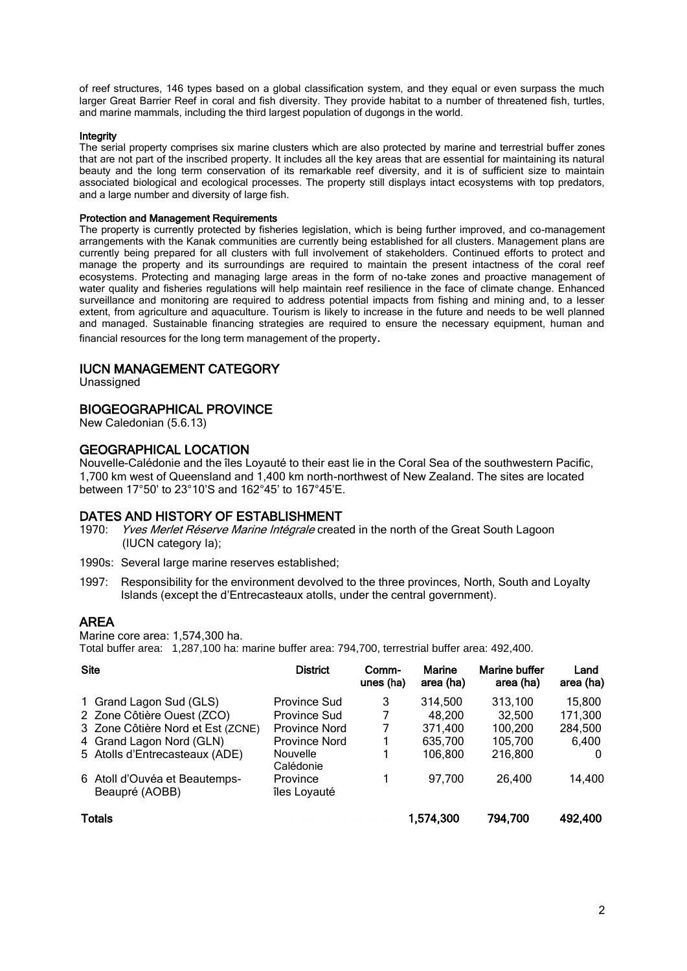of reef structures, 146 types based on a global classification system, and they equal or even surpass the much larger Great Barrier Reef in coral and fish diversity. They provide habitat to a number of threatened fish, turtles, and marine mammals, including the third largest population of dugongs in the world.

#### **Integrity**

The serial property comprises six marine clusters which are also protected by marine and terrestrial buffer zones that are not part of the inscribed property. It includes all the key areas that are essential for maintaining its natural beauty and the long term conservation of its remarkable reef diversity, and it is of sufficient size to maintain associated biological and ecological processes. The property still displays intact ecosystems with top predators, and a large number and diversity of large fish.

#### Protection and Management Requirements

The property is currently protected by fisheries legislation, which is being further improved, and co-management arrangements with the Kanak communities are currently being established for all clusters. Management plans are currently being prepared for all clusters with full involvement of stakeholders. Continued efforts to protect and manage the property and its surroundings are required to maintain the present intactness of the coral reef ecosystems. Protecting and managing large areas in the form of no-take zones and proactive management of water quality and fisheries regulations will help maintain reef resilience in the face of climate change. Enhanced surveillance and monitoring are required to address potential impacts from fishing and mining and, to a lesser extent, from agriculture and aquaculture. Tourism is likely to increase in the future and needs to be well planned and managed. Sustainable financing strategies are required to ensure the necessary equipment, human and financial resources for the long term management of the property.

#### IUCN MANAGEMENT CATEGORY

Unassigned

#### BIOGEOGRAPHICAL PROVINCE

New Caledonian (5.6.13)

#### GEOGRAPHICAL LOCATION

Nouvelle-Calédonie and the îles Loyauté to their east lie in the Coral Sea of the southwestern Pacific, 1,700 km west of Queensland and 1,400 km north-northwest of New Zealand. The sites are located between 17°50' to 23°10'S and 162°45' to 167°45'E.

#### DATES AND HISTORY OF ESTABLISHMENT

- 1970: *Yves Merlet Réserve Marine Intégrale* created in the north of the Great South Lagoon (IUCN category Ia);
- 1990s: Several large marine reserves established;
- 1997: Responsibility for the environment devolved to the three provinces, North, South and Loyalty Islands (except the d'Entrecasteaux atolls, under the central government).

### AREA

Marine core area: 1,574,300 ha.

Total buffer area: 1,287,100 ha: marine buffer area: 794,700, terrestrial buffer area: 492,400.

| <b>Site</b>   |                                                 | <b>District</b>          | Comm-<br>unes (ha) | Marine<br>area (ha) | Marine buffer<br>area (ha) | Land<br>area (ha) |
|---------------|-------------------------------------------------|--------------------------|--------------------|---------------------|----------------------------|-------------------|
|               | 1 Grand Lagon Sud (GLS)                         | <b>Province Sud</b>      | 3                  | 314.500             | 313,100                    | 15,800            |
|               | 2 Zone Côtière Ouest (ZCO)                      | Province Sud             | 7                  | 48,200              | 32,500                     | 171,300           |
|               | 3 Zone Côtière Nord et Est (ZCNE)               | Province Nord            | 7                  | 371,400             | 100,200                    | 284,500           |
|               | 4 Grand Lagon Nord (GLN)                        | <b>Province Nord</b>     |                    | 635,700             | 105,700                    | 6,400             |
|               | 5 Atolls d'Entrecasteaux (ADE)                  | Nouvelle<br>Calédonie    |                    | 106.800             | 216,800                    | $\Omega$          |
|               | 6 Atoll d'Ouvéa et Beautemps-<br>Beaupré (AOBB) | Province<br>îles Loyauté |                    | 97,700              | 26,400                     | 14,400            |
| <b>Totals</b> |                                                 |                          |                    | 1,574,300           | 794,700                    | 492,400           |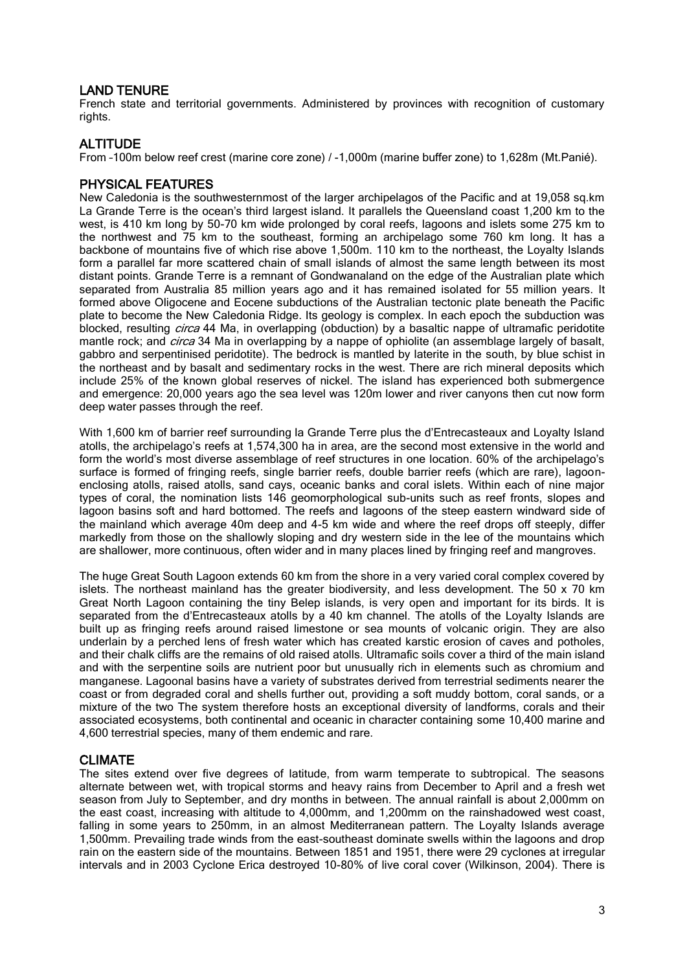# LAND TENURE

French state and territorial governments. Administered by provinces with recognition of customary rights.

### **ALTITUDE**

From –100m below reef crest (marine core zone) / -1,000m (marine buffer zone) to 1,628m (Mt.Panié).

# PHYSICAL FEATURES

New Caledonia is the southwesternmost of the larger archipelagos of the Pacific and at 19,058 sq.km La Grande Terre is the ocean's third largest island. It parallels the Queensland coast 1,200 km to the west, is 410 km long by 50-70 km wide prolonged by coral reefs, lagoons and islets some 275 km to the northwest and 75 km to the southeast, forming an archipelago some 760 km long. It has a backbone of mountains five of which rise above 1,500m. 110 km to the northeast, the Loyalty Islands form a parallel far more scattered chain of small islands of almost the same length between its most distant points. Grande Terre is a remnant of Gondwanaland on the edge of the Australian plate which separated from Australia 85 million years ago and it has remained isolated for 55 million years. It formed above Oligocene and Eocene subductions of the Australian tectonic plate beneath the Pacific plate to become the New Caledonia Ridge. Its geology is complex. In each epoch the subduction was blocked, resulting *circa* 44 Ma, in overlapping (obduction) by a basaltic nappe of ultramafic peridotite mantle rock; and *circa* 34 Ma in overlapping by a nappe of ophiolite (an assemblage largely of basalt, gabbro and serpentinised peridotite). The bedrock is mantled by laterite in the south, by blue schist in the northeast and by basalt and sedimentary rocks in the west. There are rich mineral deposits which include 25% of the known global reserves of nickel. The island has experienced both submergence and emergence: 20,000 years ago the sea level was 120m lower and river canyons then cut now form deep water passes through the reef.

With 1,600 km of barrier reef surrounding la Grande Terre plus the d'Entrecasteaux and Loyalty Island atolls, the archipelago's reefs at 1,574,300 ha in area, are the second most extensive in the world and form the world's most diverse assemblage of reef structures in one location. 60% of the archipelago's surface is formed of fringing reefs, single barrier reefs, double barrier reefs (which are rare), lagoonenclosing atolls, raised atolls, sand cays, oceanic banks and coral islets. Within each of nine major types of coral, the nomination lists 146 geomorphological sub-units such as reef fronts, slopes and lagoon basins soft and hard bottomed. The reefs and lagoons of the steep eastern windward side of the mainland which average 40m deep and 4-5 km wide and where the reef drops off steeply, differ markedly from those on the shallowly sloping and dry western side in the lee of the mountains which are shallower, more continuous, often wider and in many places lined by fringing reef and mangroves.

The huge Great South Lagoon extends 60 km from the shore in a very varied coral complex covered by islets. The northeast mainland has the greater biodiversity, and less development. The 50 x 70 km Great North Lagoon containing the tiny Belep islands, is very open and important for its birds. It is separated from the d'Entrecasteaux atolls by a 40 km channel. The atolls of the Loyalty Islands are built up as fringing reefs around raised limestone or sea mounts of volcanic origin. They are also underlain by a perched lens of fresh water which has created karstic erosion of caves and potholes, and their chalk cliffs are the remains of old raised atolls. Ultramafic soils cover a third of the main island and with the serpentine soils are nutrient poor but unusually rich in elements such as chromium and manganese. Lagoonal basins have a variety of substrates derived from terrestrial sediments nearer the coast or from degraded coral and shells further out, providing a soft muddy bottom, coral sands, or a mixture of the two The system therefore hosts an exceptional diversity of landforms, corals and their associated ecosystems, both continental and oceanic in character containing some 10,400 marine and 4,600 terrestrial species, many of them endemic and rare.

### CLIMATE

The sites extend over five degrees of latitude, from warm temperate to subtropical. The seasons alternate between wet, with tropical storms and heavy rains from December to April and a fresh wet season from July to September, and dry months in between. The annual rainfall is about 2,000mm on the east coast, increasing with altitude to 4,000mm, and 1,200mm on the rainshadowed west coast, falling in some years to 250mm, in an almost Mediterranean pattern. The Loyalty Islands average 1,500mm. Prevailing trade winds from the east-southeast dominate swells within the lagoons and drop rain on the eastern side of the mountains. Between 1851 and 1951, there were 29 cyclones at irregular intervals and in 2003 Cyclone Erica destroyed 10-80% of live coral cover (Wilkinson, 2004). There is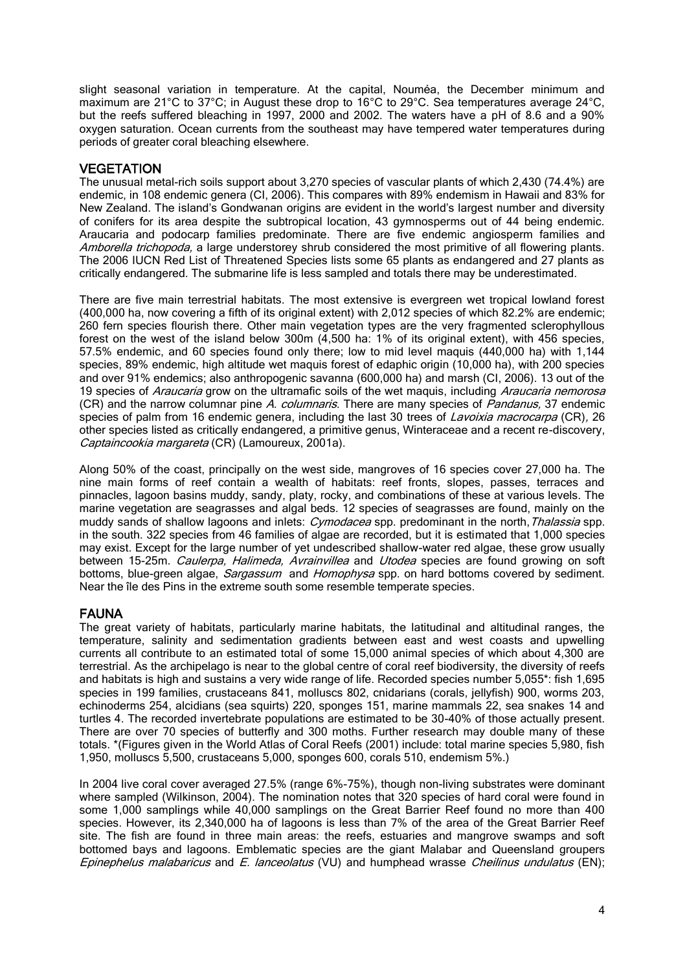slight seasonal variation in temperature. At the capital, Nouméa, the December minimum and maximum are 21°C to 37°C; in August these drop to 16°C to 29°C. Sea temperatures average 24°C, but the reefs suffered bleaching in 1997, 2000 and 2002. The waters have a pH of 8.6 and a 90% oxygen saturation. Ocean currents from the southeast may have tempered water temperatures during periods of greater coral bleaching elsewhere.

# **VEGETATION**

The unusual metal-rich soils support about 3,270 species of vascular plants of which 2,430 (74.4%) are endemic, in 108 endemic genera (CI, 2006). This compares with 89% endemism in Hawaii and 83% for New Zealand. The island's Gondwanan origins are evident in the world's largest number and diversity of conifers for its area despite the subtropical location, 43 gymnosperms out of 44 being endemic. Araucaria and podocarp families predominate. There are five endemic angiosperm families and Amborella trichopoda, a large understorey shrub considered the most primitive of all flowering plants. The 2006 IUCN Red List of Threatened Species lists some 65 plants as endangered and 27 plants as critically endangered. The submarine life is less sampled and totals there may be underestimated.

There are five main terrestrial habitats. The most extensive is evergreen wet tropical lowland forest (400,000 ha, now covering a fifth of its original extent) with 2,012 species of which 82.2% are endemic; 260 fern species flourish there. Other main vegetation types are the very fragmented sclerophyllous forest on the west of the island below 300m (4,500 ha: 1% of its original extent), with 456 species, 57.5% endemic, and 60 species found only there; low to mid level maquis (440,000 ha) with 1,144 species, 89% endemic, high altitude wet maquis forest of edaphic origin (10,000 ha), with 200 species and over 91% endemics; also anthropogenic savanna (600,000 ha) and marsh (CI, 2006). 13 out of the 19 species of Araucaria grow on the ultramafic soils of the wet maguis, including Araucaria nemorosa (CR) and the narrow columnar pine A. columnaris. There are many species of *Pandanus*, 37 endemic species of palm from 16 endemic genera, including the last 30 trees of *Lavoixia macrocarpa* (CR), 26 other species listed as critically endangered, a primitive genus, Winteraceae and a recent re-discovery, Captaincookia margareta (CR) (Lamoureux, 2001a).

Along 50% of the coast, principally on the west side, mangroves of 16 species cover 27,000 ha. The nine main forms of reef contain a wealth of habitats: reef fronts, slopes, passes, terraces and pinnacles, lagoon basins muddy, sandy, platy, rocky, and combinations of these at various levels. The marine vegetation are seagrasses and algal beds. 12 species of seagrasses are found, mainly on the muddy sands of shallow lagoons and inlets: Cymodacea spp. predominant in the north, Thalassia spp. in the south. 322 species from 46 families of algae are recorded, but it is estimated that 1,000 species may exist. Except for the large number of yet undescribed shallow-water red algae, these grow usually between 15-25m. Caulerpa, Halimeda, Avrainvillea and Utodea species are found growing on soft bottoms, blue-green algae, Sargassum and Homophysa spp. on hard bottoms covered by sediment. Near the île des Pins in the extreme south some resemble temperate species.

### FAUNA

The great variety of habitats, particularly marine habitats, the latitudinal and altitudinal ranges, the temperature, salinity and sedimentation gradients between east and west coasts and upwelling currents all contribute to an estimated total of some 15,000 animal species of which about 4,300 are terrestrial. As the archipelago is near to the global centre of coral reef biodiversity, the diversity of reefs and habitats is high and sustains a very wide range of life. Recorded species number 5,055\*: fish 1,695 species in 199 families, crustaceans 841, molluscs 802, cnidarians (corals, jellyfish) 900, worms 203, echinoderms 254, alcidians (sea squirts) 220, sponges 151, marine mammals 22, sea snakes 14 and turtles 4. The recorded invertebrate populations are estimated to be 30-40% of those actually present. There are over 70 species of butterfly and 300 moths. Further research may double many of these totals. \*(Figures given in the World Atlas of Coral Reefs (2001) include: total marine species 5,980, fish 1,950, molluscs 5,500, crustaceans 5,000, sponges 600, corals 510, endemism 5%.)

In 2004 live coral cover averaged 27.5% (range 6%-75%), though non-living substrates were dominant where sampled (Wilkinson, 2004). The nomination notes that 320 species of hard coral were found in some 1,000 samplings while 40,000 samplings on the Great Barrier Reef found no more than 400 species. However, its 2,340,000 ha of lagoons is less than 7% of the area of the Great Barrier Reef site. The fish are found in three main areas: the reefs, estuaries and mangrove swamps and soft bottomed bays and lagoons. Emblematic species are the giant Malabar and Queensland groupers Epinephelus malabaricus and E. lanceolatus (VU) and humphead wrasse Cheilinus undulatus (EN);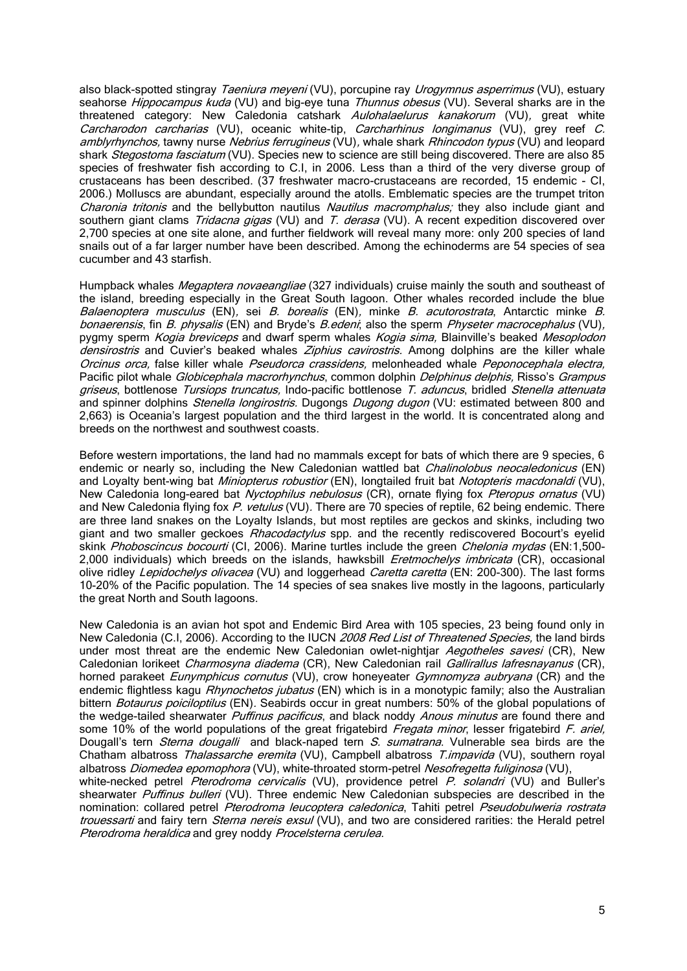also black-spotted stingray Taeniura meyeni (VU), porcupine ray Urogymnus asperrimus (VU), estuary seahorse Hippocampus kuda (VU) and big-eye tuna Thunnus obesus (VU). Several sharks are in the threatened category: New Caledonia catshark Aulohalaelurus kanakorum (VU), great white Carcharodon carcharias (VU), oceanic white-tip, Carcharhinus longimanus (VU), grey reef C. amblyrhynchos, tawny nurse Nebrius ferrugineus (VU), whale shark Rhincodon typus (VU) and leopard shark *Stegostoma fasciatum* (VU). Species new to science are still being discovered. There are also 85 species of freshwater fish according to C.I, in 2006. Less than a third of the very diverse group of crustaceans has been described. (37 freshwater macro-crustaceans are recorded, 15 endemic - CI, 2006.) Molluscs are abundant, especially around the atolls. Emblematic species are the trumpet triton Charonia tritonis and the bellybutton nautilus Nautilus macromphalus; they also include giant and southern giant clams Tridacna gigas (VU) and T. derasa (VU). A recent expedition discovered over 2,700 species at one site alone, and further fieldwork will reveal many more: only 200 species of land snails out of a far larger number have been described. Among the echinoderms are 54 species of sea cucumber and 43 starfish.

Humpback whales *Megaptera novaeangliae* (327 individuals) cruise mainly the south and southeast of the island, breeding especially in the Great South lagoon. Other whales recorded include the blue Balaenoptera musculus (EN), sei B. borealis (EN), minke B. acutorostrata, Antarctic minke B. bonaerensis, fin B. physalis (EN) and Bryde's B.edeni; also the sperm Physeter macrocephalus (VU), pygmy sperm Kogia breviceps and dwarf sperm whales Kogia sima, Blainville's beaked Mesoplodon densirostris and Cuvier's beaked whales Ziphius cavirostris. Among dolphins are the killer whale Orcinus orca, false killer whale Pseudorca crassidens, melonheaded whale Peponocephala electra, Pacific pilot whale Globicephala macrorhynchus, common dolphin Delphinus delphis, Risso's Grampus griseus, bottlenose Tursiops truncatus, Indo-pacific bottlenose T. aduncus, bridled Stenella attenuata and spinner dolphins Stenella longirostris. Dugongs Dugong dugon (VU: estimated between 800 and 2,663) is Oceania's largest population and the third largest in the world. It is concentrated along and breeds on the northwest and southwest coasts.

Before western importations, the land had no mammals except for bats of which there are 9 species, 6 endemic or nearly so, including the New Caledonian wattled bat *Chalinolobus neocaledonicus* (EN) and Loyalty bent-wing bat Miniopterus robustior (EN), longtailed fruit bat Notopteris macdonaldi (VU), New Caledonia long-eared bat Nyctophilus nebulosus (CR), ornate flying fox Pteropus ornatus (VU) and New Caledonia flying fox P. vetulus (VU). There are 70 species of reptile, 62 being endemic. There are three land snakes on the Loyalty Islands, but most reptiles are geckos and skinks, including two giant and two smaller geckoes *Rhacodactylus* spp. and the recently rediscovered Bocourt's eyelid skink Phoboscincus bocourti (CI, 2006). Marine turtles include the green Chelonia mydas (EN:1,500-2,000 individuals) which breeds on the islands, hawksbill *Eretmochelys imbricata* (CR), occasional olive ridley Lepidochelys olivacea (VU) and loggerhead Caretta caretta (EN: 200-300). The last forms 10-20% of the Pacific population. The 14 species of sea snakes live mostly in the lagoons, particularly the great North and South lagoons.

New Caledonia is an avian hot spot and Endemic Bird Area with 105 species, 23 being found only in New Caledonia (C.I, 2006). According to the IUCN 2008 Red List of Threatened Species, the land birds under most threat are the endemic New Caledonian owlet-nightiar Aegotheles savesi (CR), New Caledonian lorikeet *Charmosyna diadema* (CR), New Caledonian rail Gallirallus lafresnayanus (CR), horned parakeet *Eunymphicus cornutus* (VU), crow honeyeater *Gymnomyza aubryana* (CR) and the endemic flightless kagu *Rhynochetos jubatus* (EN) which is in a monotypic family; also the Australian bittern Botaurus poiciloptilus (EN). Seabirds occur in great numbers: 50% of the global populations of the wedge-tailed shearwater *Puffinus pacificus*, and black noddy *Anous minutus* are found there and some 10% of the world populations of the great frigatebird Fregata minor, lesser frigatebird F. ariel, Dougall's tern Sterna dougalli and black-naped tern S. sumatrana. Vulnerable sea birds are the Chatham albatross Thalassarche eremita (VU), Campbell albatross T.impavida (VU), southern royal albatross Diomedea epomophora (VU), white-throated storm-petrel Nesofregetta fuliginosa (VU), white-necked petrel Pterodroma cervicalis (VU), providence petrel P. solandri (VU) and Buller's shearwater Puffinus bulleri (VU). Three endemic New Caledonian subspecies are described in the nomination: collared petrel Pterodroma leucoptera caledonica, Tahiti petrel Pseudobulweria rostrata trouessarti and fairy tern Sterna nereis exsul (VU), and two are considered rarities: the Herald petrel Pterodroma heraldica and grey noddy Procelsterna cerulea.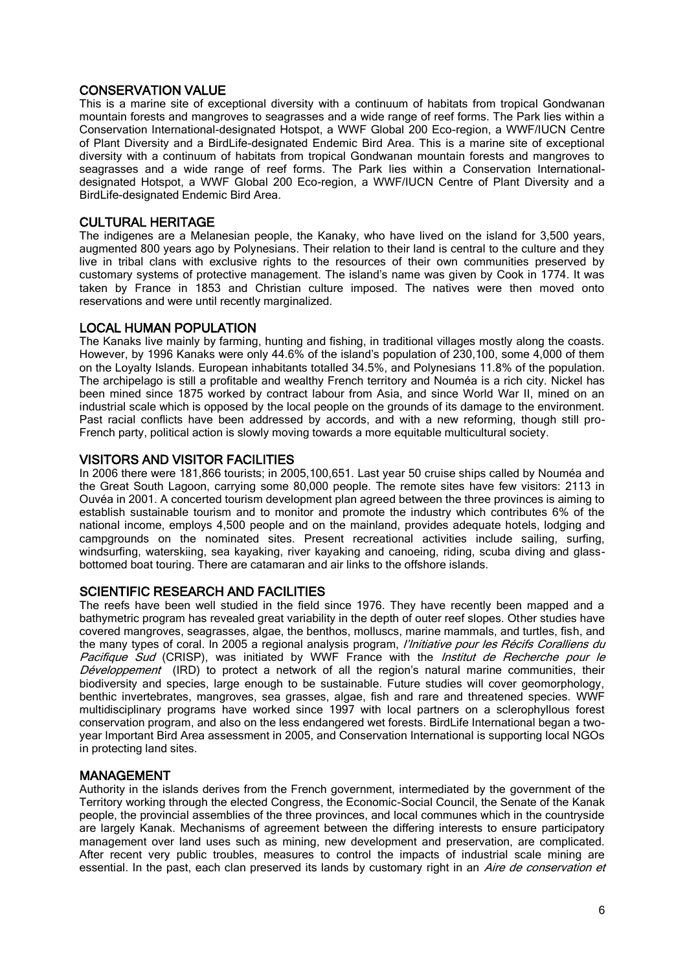### CONSERVATION VALUE

This is a marine site of exceptional diversity with a continuum of habitats from tropical Gondwanan mountain forests and mangroves to seagrasses and a wide range of reef forms. The Park lies within a Conservation International-designated Hotspot, a WWF Global 200 Eco-region, a WWF/IUCN Centre of Plant Diversity and a BirdLife-designated Endemic Bird Area. This is a marine site of exceptional diversity with a continuum of habitats from tropical Gondwanan mountain forests and mangroves to seagrasses and a wide range of reef forms. The Park lies within a Conservation Internationaldesignated Hotspot, a WWF Global 200 Eco-region, a WWF/IUCN Centre of Plant Diversity and a BirdLife-designated Endemic Bird Area.

#### CULTURAL HERITAGE

The indigenes are a Melanesian people, the Kanaky, who have lived on the island for 3,500 years, augmented 800 years ago by Polynesians. Their relation to their land is central to the culture and they live in tribal clans with exclusive rights to the resources of their own communities preserved by customary systems of protective management. The island's name was given by Cook in 1774. It was taken by France in 1853 and Christian culture imposed. The natives were then moved onto reservations and were until recently marginalized.

#### LOCAL HUMAN POPULATION

The Kanaks live mainly by farming, hunting and fishing, in traditional villages mostly along the coasts. However, by 1996 Kanaks were only 44.6% of the island's population of 230,100, some 4,000 of them on the Loyalty Islands. European inhabitants totalled 34.5%, and Polynesians 11.8% of the population. The archipelago is still a profitable and wealthy French territory and Nouméa is a rich city. Nickel has been mined since 1875 worked by contract labour from Asia, and since World War II, mined on an industrial scale which is opposed by the local people on the grounds of its damage to the environment. Past racial conflicts have been addressed by accords, and with a new reforming, though still pro-French party, political action is slowly moving towards a more equitable multicultural society.

#### VISITORS AND VISITOR FACILITIES

In 2006 there were 181,866 tourists; in 2005,100,651. Last year 50 cruise ships called by Nouméa and the Great South Lagoon, carrying some 80,000 people. The remote sites have few visitors: 2113 in Ouvéa in 2001. A concerted tourism development plan agreed between the three provinces is aiming to establish sustainable tourism and to monitor and promote the industry which contributes 6% of the national income, employs 4,500 people and on the mainland, provides adequate hotels, lodging and campgrounds on the nominated sites. Present recreational activities include sailing, surfing, windsurfing, waterskiing, sea kayaking, river kayaking and canoeing, riding, scuba diving and glassbottomed boat touring. There are catamaran and air links to the offshore islands.

### SCIENTIFIC RESEARCH AND FACILITIES

The reefs have been well studied in the field since 1976. They have recently been mapped and a bathymetric program has revealed great variability in the depth of outer reef slopes. Other studies have covered mangroves, seagrasses, algae, the benthos, molluscs, marine mammals, and turtles, fish, and the many types of coral. In 2005 a regional analysis program, *l'Initiative pour les Récifs Coralliens du* Pacifique Sud (CRISP), was initiated by WWF France with the *Institut de Recherche pour le* Développement (IRD) to protect a network of all the region's natural marine communities, their biodiversity and species, large enough to be sustainable. Future studies will cover geomorphology, benthic invertebrates, mangroves, sea grasses, algae, fish and rare and threatened species. WWF multidisciplinary programs have worked since 1997 with local partners on a sclerophyllous forest conservation program, and also on the less endangered wet forests. BirdLife International began a twoyear Important Bird Area assessment in 2005, and Conservation International is supporting local NGOs in protecting land sites.

#### MANAGEMENT

Authority in the islands derives from the French government, intermediated by the government of the Territory working through the elected Congress, the Economic-Social Council, the Senate of the Kanak people, the provincial assemblies of the three provinces, and local communes which in the countryside are largely Kanak. Mechanisms of agreement between the differing interests to ensure participatory management over land uses such as mining, new development and preservation, are complicated. After recent very public troubles, measures to control the impacts of industrial scale mining are essential. In the past, each clan preserved its lands by customary right in an Aire de conservation et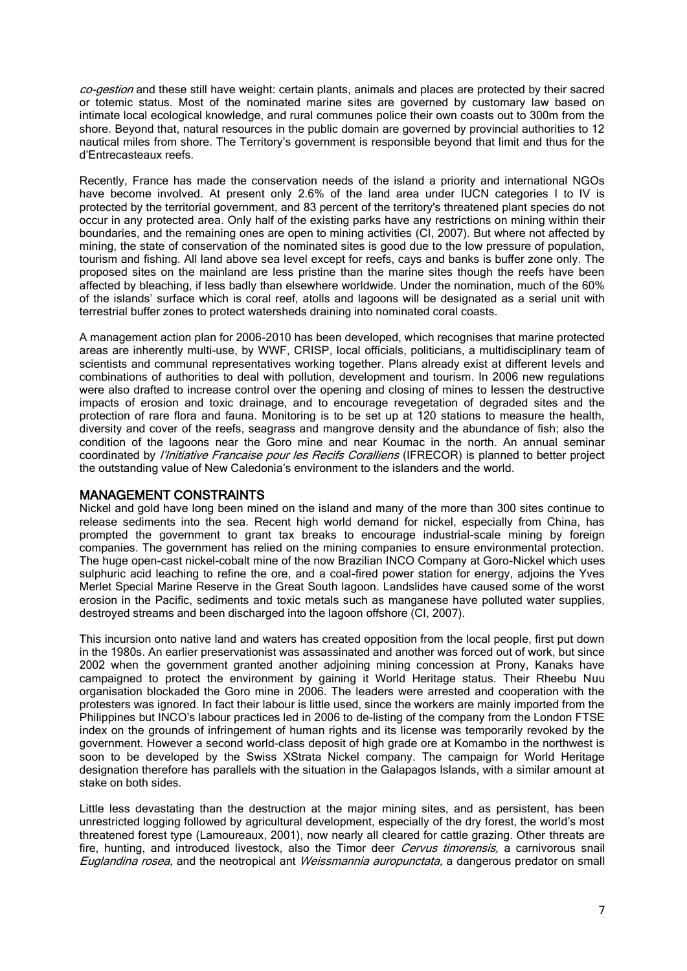co-gestion and these still have weight: certain plants, animals and places are protected by their sacred or totemic status. Most of the nominated marine sites are governed by customary law based on intimate local ecological knowledge, and rural communes police their own coasts out to 300m from the shore. Beyond that, natural resources in the public domain are governed by provincial authorities to 12 nautical miles from shore. The Territory's government is responsible beyond that limit and thus for the d'Entrecasteaux reefs.

Recently, France has made the conservation needs of the island a priority and international NGOs have become involved. At present only 2.6% of the land area under IUCN categories I to IV is protected by the territorial government, and 83 percent of the territory's threatened plant species do not occur in any protected area. Only half of the existing parks have any restrictions on mining within their boundaries, and the remaining ones are open to mining activities (CI, 2007). But where not affected by mining, the state of conservation of the nominated sites is good due to the low pressure of population, tourism and fishing. All land above sea level except for reefs, cays and banks is buffer zone only. The proposed sites on the mainland are less pristine than the marine sites though the reefs have been affected by bleaching, if less badly than elsewhere worldwide. Under the nomination, much of the 60% of the islands' surface which is coral reef, atolls and lagoons will be designated as a serial unit with terrestrial buffer zones to protect watersheds draining into nominated coral coasts.

A management action plan for 2006-2010 has been developed, which recognises that marine protected areas are inherently multi-use, by WWF, CRISP, local officials, politicians, a multidisciplinary team of scientists and communal representatives working together. Plans already exist at different levels and combinations of authorities to deal with pollution, development and tourism. In 2006 new regulations were also drafted to increase control over the opening and closing of mines to lessen the destructive impacts of erosion and toxic drainage, and to encourage revegetation of degraded sites and the protection of rare flora and fauna. Monitoring is to be set up at 120 stations to measure the health, diversity and cover of the reefs, seagrass and mangrove density and the abundance of fish; also the condition of the lagoons near the Goro mine and near Koumac in the north. An annual seminar coordinated by *l'Initiative Francaise pour les Recifs Coralliens* (IFRECOR) is planned to better project the outstanding value of New Caledonia's environment to the islanders and the world.

#### MANAGEMENT CONSTRAINTS

Nickel and gold have long been mined on the island and many of the more than 300 sites continue to release sediments into the sea. Recent high world demand for nickel, especially from China, has prompted the government to grant tax breaks to encourage industrial-scale mining by foreign companies. The government has relied on the mining companies to ensure environmental protection. The huge open-cast nickel-cobalt mine of the now Brazilian INCO Company at Goro-Nickel which uses sulphuric acid leaching to refine the ore, and a coal-fired power station for energy, adjoins the Yves Merlet Special Marine Reserve in the Great South lagoon. Landslides have caused some of the worst erosion in the Pacific, sediments and toxic metals such as manganese have polluted water supplies, destroyed streams and been discharged into the lagoon offshore (CI, 2007).

This incursion onto native land and waters has created opposition from the local people, first put down in the 1980s. An earlier preservationist was assassinated and another was forced out of work, but since 2002 when the government granted another adjoining mining concession at Prony, Kanaks have campaigned to protect the environment by gaining it World Heritage status. Their Rheebu Nuu organisation blockaded the Goro mine in 2006. The leaders were arrested and cooperation with the protesters was ignored. In fact their labour is little used, since the workers are mainly imported from the Philippines but INCO's labour practices led in 2006 to de-listing of the company from the London FTSE index on the grounds of infringement of human rights and its license was temporarily revoked by the government. However a second world-class deposit of high grade ore at Komambo in the northwest is soon to be developed by the Swiss XStrata Nickel company. The campaign for World Heritage designation therefore has parallels with the situation in the Galapagos Islands, with a similar amount at stake on both sides.

Little less devastating than the destruction at the major mining sites, and as persistent, has been unrestricted logging followed by agricultural development, especially of the dry forest, the world's most threatened forest type (Lamoureaux, 2001), now nearly all cleared for cattle grazing. Other threats are fire, hunting, and introduced livestock, also the Timor deer *Cervus timorensis*, a carnivorous snail Euglandina rosea, and the neotropical ant *Weissmannia auropunctata*, a dangerous predator on small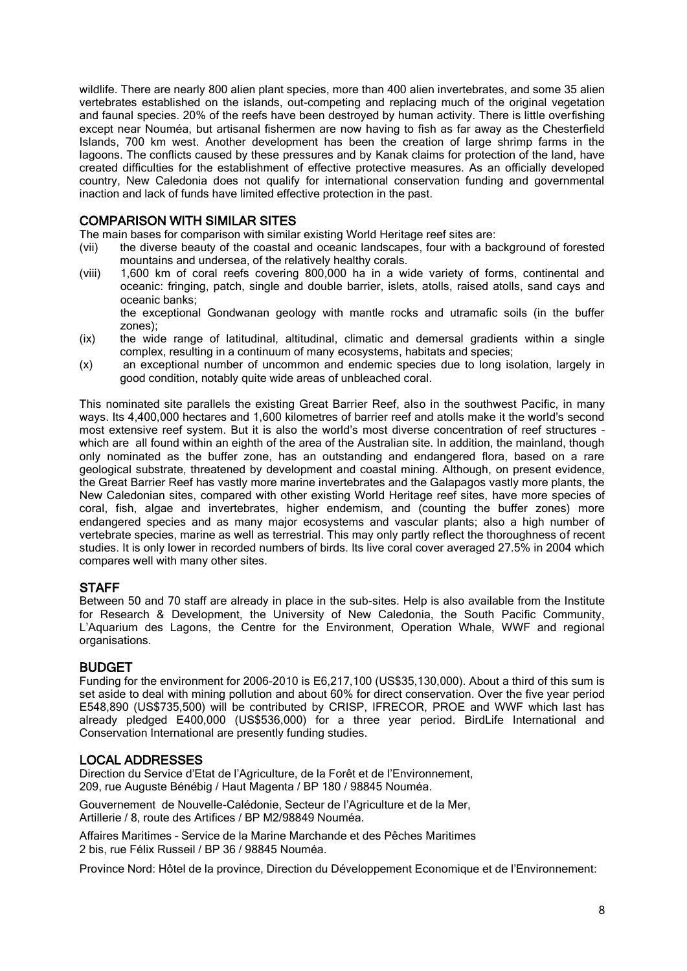wildlife. There are nearly 800 alien plant species, more than 400 alien invertebrates, and some 35 alien vertebrates established on the islands, out-competing and replacing much of the original vegetation and faunal species. 20% of the reefs have been destroyed by human activity. There is little overfishing except near Nouméa, but artisanal fishermen are now having to fish as far away as the Chesterfield Islands, 700 km west. Another development has been the creation of large shrimp farms in the lagoons. The conflicts caused by these pressures and by Kanak claims for protection of the land, have created difficulties for the establishment of effective protective measures. As an officially developed country, New Caledonia does not qualify for international conservation funding and governmental inaction and lack of funds have limited effective protection in the past.

### COMPARISON WITH SIMILAR SITES

The main bases for comparison with similar existing World Heritage reef sites are:

- (vii) the diverse beauty of the coastal and oceanic landscapes, four with a background of forested mountains and undersea, of the relatively healthy corals.
- (viii) 1,600 km of coral reefs covering 800,000 ha in a wide variety of forms, continental and oceanic: fringing, patch, single and double barrier, islets, atolls, raised atolls, sand cays and oceanic banks;

the exceptional Gondwanan geology with mantle rocks and utramafic soils (in the buffer zones);

- (ix) the wide range of latitudinal, altitudinal, climatic and demersal gradients within a single complex, resulting in a continuum of many ecosystems, habitats and species;
- (x) an exceptional number of uncommon and endemic species due to long isolation, largely in good condition, notably quite wide areas of unbleached coral.

This nominated site parallels the existing Great Barrier Reef, also in the southwest Pacific, in many ways. Its 4,400,000 hectares and 1,600 kilometres of barrier reef and atolls make it the world's second most extensive reef system. But it is also the world's most diverse concentration of reef structures – which are all found within an eighth of the area of the Australian site. In addition, the mainland, though only nominated as the buffer zone, has an outstanding and endangered flora, based on a rare geological substrate, threatened by development and coastal mining. Although, on present evidence, the Great Barrier Reef has vastly more marine invertebrates and the Galapagos vastly more plants, the New Caledonian sites, compared with other existing World Heritage reef sites, have more species of coral, fish, algae and invertebrates, higher endemism, and (counting the buffer zones) more endangered species and as many major ecosystems and vascular plants; also a high number of vertebrate species, marine as well as terrestrial. This may only partly reflect the thoroughness of recent studies. It is only lower in recorded numbers of birds. Its live coral cover averaged 27.5% in 2004 which compares well with many other sites.

### **STAFF**

Between 50 and 70 staff are already in place in the sub-sites. Help is also available from the Institute for Research & Development, the University of New Caledonia, the South Pacific Community, L'Aquarium des Lagons, the Centre for the Environment, Operation Whale, WWF and regional organisations.

### BUDGET

Funding for the environment for 2006-2010 is E6,217,100 (US\$35,130,000). About a third of this sum is set aside to deal with mining pollution and about 60% for direct conservation. Over the five year period E548,890 (US\$735,500) will be contributed by CRISP, IFRECOR, PROE and WWF which last has already pledged E400,000 (US\$536,000) for a three year period. BirdLife International and Conservation International are presently funding studies.

### LOCAL ADDRESSES

Direction du Service d'Etat de l'Agriculture, de la Forêt et de l'Environnement, 209, rue Auguste Bénébig / Haut Magenta / BP 180 / 98845 Nouméa.

Gouvernement de Nouvelle-Calédonie, Secteur de l'Agriculture et de la Mer, Artillerie / 8, route des Artifices / BP M2/98849 Nouméa.

Affaires Maritimes – Service de la Marine Marchande et des Pêches Maritimes 2 bis, rue Félix Russeil / BP 36 / 98845 Nouméa.

Province Nord: Hôtel de la province, Direction du Développement Economique et de l'Environnement: